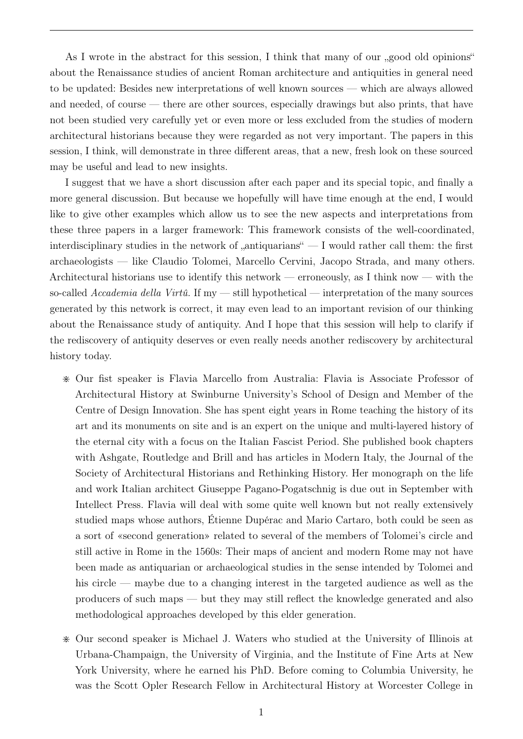As I wrote in the abstract for this session, I think that many of our "good old opinions" about the Renaissance studies of ancient Roman architecture and antiquities in general need to be updated: Besides new interpretations of well known sources — which are always allowed and needed, of course — there are other sources, especially drawings but also prints, that have not been studied very carefully yet or even more or less excluded from the studies of modern architectural historians because they were regarded as not very important. The papers in this session, I think, will demonstrate in three different areas, that a new, fresh look on these sourced may be useful and lead to new insights.

I suggest that we have a short discussion after each paper and its special topic, and finally a more general discussion. But because we hopefully will have time enough at the end, I would like to give other examples which allow us to see the new aspects and interpretations from these three papers in a larger framework: This framework consists of the well-coordinated, interdisciplinary studies in the network of  $\alpha$ , antiquarians"  $\overline{\phantom{a}}$  = I would rather call them: the first archaeologists — like Claudio Tolomei, Marcello Cervini, Jacopo Strada, and many others. Architectural historians use to identify this network — erroneously, as I think now — with the so-called Accademia della Virtû. If  $my$  — still hypothetical — interpretation of the many sources generated by this network is correct, it may even lead to an important revision of our thinking about the Renaissance study of antiquity. And I hope that this session will help to clarify if the rediscovery of antiquity deserves or even really needs another rediscovery by architectural history today.

- > Our fist speaker is Flavia Marcello from Australia: Flavia is Associate Professor of Architectural History at Swinburne University's School of Design and Member of the Centre of Design Innovation. She has spent eight years in Rome teaching the history of its art and its monuments on site and is an expert on the unique and multi-layered history of the eternal city with a focus on the Italian Fascist Period. She published book chapters with Ashgate, Routledge and Brill and has articles in Modern Italy, the Journal of the Society of Architectural Historians and Rethinking History. Her monograph on the life and work Italian architect Giuseppe Pagano-Pogatschnig is due out in September with Intellect Press. Flavia will deal with some quite well known but not really extensively studied maps whose authors, Étienne Dupérac and Mario Cartaro, both could be seen as a sort of «second generation» related to several of the members of Tolomei's circle and still active in Rome in the 1560s: Their maps of ancient and modern Rome may not have been made as antiquarian or archaeological studies in the sense intended by Tolomei and his circle — maybe due to a changing interest in the targeted audience as well as the producers of such maps — but they may still reflect the knowledge generated and also methodological approaches developed by this elder generation.
- > Our second speaker is Michael J. Waters who studied at the University of Illinois at Urbana-Champaign, the University of Virginia, and the Institute of Fine Arts at New York University, where he earned his PhD. Before coming to Columbia University, he was the Scott Opler Research Fellow in Architectural History at Worcester College in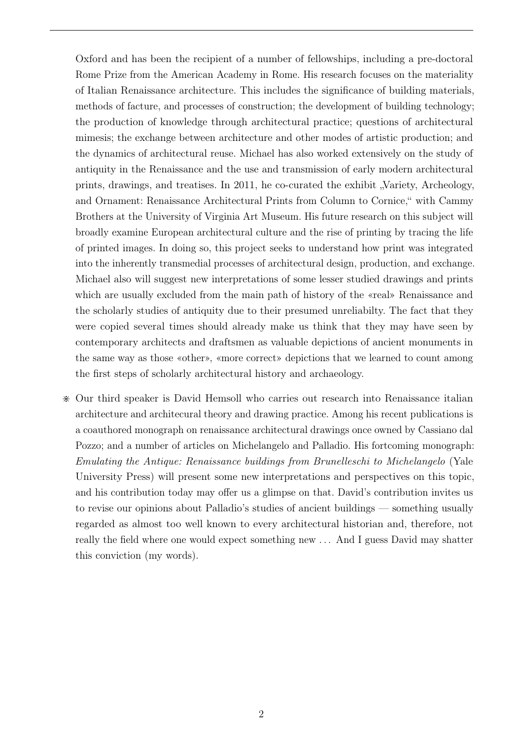Oxford and has been the recipient of a number of fellowships, including a pre-doctoral Rome Prize from the American Academy in Rome. His research focuses on the materiality of Italian Renaissance architecture. This includes the significance of building materials, methods of facture, and processes of construction; the development of building technology; the production of knowledge through architectural practice; questions of architectural mimesis; the exchange between architecture and other modes of artistic production; and the dynamics of architectural reuse. Michael has also worked extensively on the study of antiquity in the Renaissance and the use and transmission of early modern architectural prints, drawings, and treatises. In 2011, he co-curated the exhibit "Variety, Archeology, and Ornament: Renaissance Architectural Prints from Column to Cornice," with Cammy Brothers at the University of Virginia Art Museum. His future research on this subject will broadly examine European architectural culture and the rise of printing by tracing the life of printed images. In doing so, this project seeks to understand how print was integrated into the inherently transmedial processes of architectural design, production, and exchange. Michael also will suggest new interpretations of some lesser studied drawings and prints which are usually excluded from the main path of history of the «real» Renaissance and the scholarly studies of antiquity due to their presumed unreliabilty. The fact that they were copied several times should already make us think that they may have seen by contemporary architects and draftsmen as valuable depictions of ancient monuments in the same way as those «other», «more correct» depictions that we learned to count among the first steps of scholarly architectural history and archaeology.

> Our third speaker is David Hemsoll who carries out research into Renaissance italian architecture and architecural theory and drawing practice. Among his recent publications is a coauthored monograph on renaissance architectural drawings once owned by Cassiano dal Pozzo; and a number of articles on Michelangelo and Palladio. His fortcoming monograph: Emulating the Antique: Renaissance buildings from Brunelleschi to Michelangelo (Yale University Press) will present some new interpretations and perspectives on this topic, and his contribution today may offer us a glimpse on that. David's contribution invites us to revise our opinions about Palladio's studies of ancient buildings — something usually regarded as almost too well known to every architectural historian and, therefore, not really the field where one would expect something new . . . And I guess David may shatter this conviction (my words).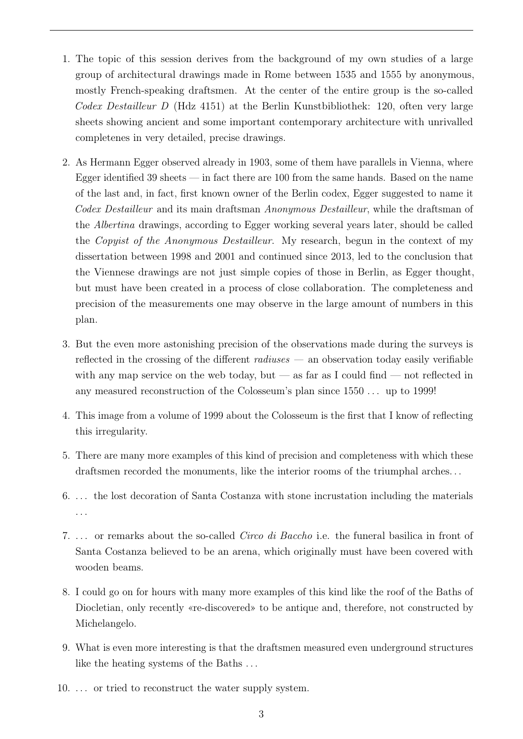- 1. The topic of this session derives from the background of my own studies of a large group of architectural drawings made in Rome between 1535 and 1555 by anonymous, mostly French-speaking draftsmen. At the center of the entire group is the so-called Codex Destailleur D (Hdz 4151) at the Berlin Kunstbibliothek: 120, often very large sheets showing ancient and some important contemporary architecture with unrivalled completenes in very detailed, precise drawings.
- 2. As Hermann Egger observed already in 1903, some of them have parallels in Vienna, where Egger identified 39 sheets — in fact there are 100 from the same hands. Based on the name of the last and, in fact, first known owner of the Berlin codex, Egger suggested to name it Codex Destailleur and its main draftsman Anonymous Destailleur, while the draftsman of the Albertina drawings, according to Egger working several years later, should be called the Copyist of the Anonymous Destailleur. My research, begun in the context of my dissertation between 1998 and 2001 and continued since 2013, led to the conclusion that the Viennese drawings are not just simple copies of those in Berlin, as Egger thought, but must have been created in a process of close collaboration. The completeness and precision of the measurements one may observe in the large amount of numbers in this plan.
- 3. But the even more astonishing precision of the observations made during the surveys is reflected in the crossing of the different  $radianses$  — an observation today easily verifiable with any map service on the web today, but — as far as I could find — not reflected in any measured reconstruction of the Colosseum's plan since 1550 . . . up to 1999!
- 4. This image from a volume of 1999 about the Colosseum is the first that I know of reflecting this irregularity.
- 5. There are many more examples of this kind of precision and completeness with which these draftsmen recorded the monuments, like the interior rooms of the triumphal arches. . .
- 6. . . . the lost decoration of Santa Costanza with stone incrustation including the materials . . .
- 7. ... or remarks about the so-called *Circo di Baccho* i.e. the funeral basilica in front of Santa Costanza believed to be an arena, which originally must have been covered with wooden beams.
- 8. I could go on for hours with many more examples of this kind like the roof of the Baths of Diocletian, only recently «re-discovered» to be antique and, therefore, not constructed by Michelangelo.
- 9. What is even more interesting is that the draftsmen measured even underground structures like the heating systems of the Baths ...
- 10. . . . or tried to reconstruct the water supply system.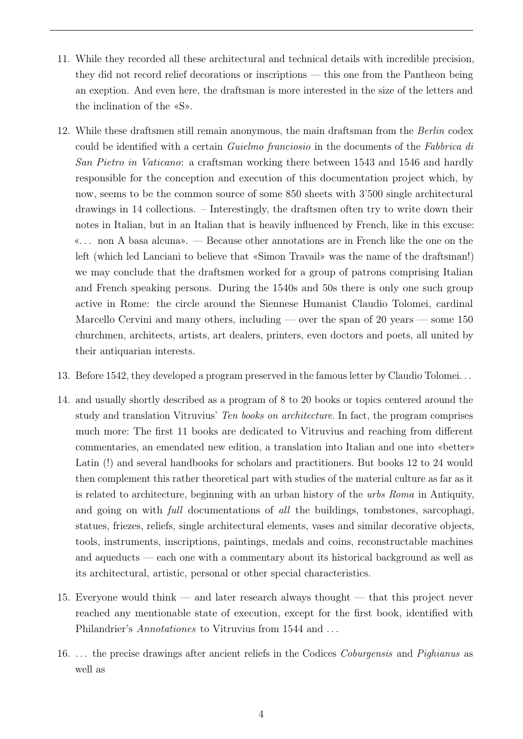- 11. While they recorded all these architectural and technical details with incredible precision, they did not record relief decorations or inscriptions — this one from the Pantheon being an exeption. And even here, the draftsman is more interested in the size of the letters and the inclination of the «S».
- 12. While these draftsmen still remain anonymous, the main draftsman from the Berlin codex could be identified with a certain Guielmo franciosio in the documents of the Fabbrica di San Pietro in Vaticano: a craftsman working there between 1543 and 1546 and hardly responsible for the conception and execution of this documentation project which, by now, seems to be the common source of some 850 sheets with 3'500 single architectural drawings in 14 collections. – Interestingly, the draftsmen often try to write down their notes in Italian, but in an Italian that is heavily influenced by French, like in this excuse: «. . . non A basa alcuna». — Because other annotations are in French like the one on the left (which led Lanciani to believe that «Simon Travail» was the name of the draftsman!) we may conclude that the draftsmen worked for a group of patrons comprising Italian and French speaking persons. During the 1540s and 50s there is only one such group active in Rome: the circle around the Siennese Humanist Claudio Tolomei, cardinal Marcello Cervini and many others, including — over the span of 20 years — some  $150$ churchmen, architects, artists, art dealers, printers, even doctors and poets, all united by their antiquarian interests.
- 13. Before 1542, they developed a program preserved in the famous letter by Claudio Tolomei. . .
- 14. and usually shortly described as a program of 8 to 20 books or topics centered around the study and translation Vitruvius' Ten books on architecture. In fact, the program comprises much more: The first 11 books are dedicated to Vitruvius and reaching from different commentaries, an emendated new edition, a translation into Italian and one into «better» Latin (!) and several handbooks for scholars and practitioners. But books 12 to 24 would then complement this rather theoretical part with studies of the material culture as far as it is related to architecture, beginning with an urban history of the urbs Roma in Antiquity, and going on with full documentations of all the buildings, tombstones, sarcophagi, statues, friezes, reliefs, single architectural elements, vases and similar decorative objects, tools, instruments, inscriptions, paintings, medals and coins, reconstructable machines and aqueducts — each one with a commentary about its historical background as well as its architectural, artistic, personal or other special characteristics.
- 15. Everyone would think and later research always thought that this project never reached any mentionable state of execution, except for the first book, identified with Philandrier's *Annotationes* to Vitruvius from 1544 and ...
- 16. . . . the precise drawings after ancient reliefs in the Codices Coburgensis and Pighianus as well as